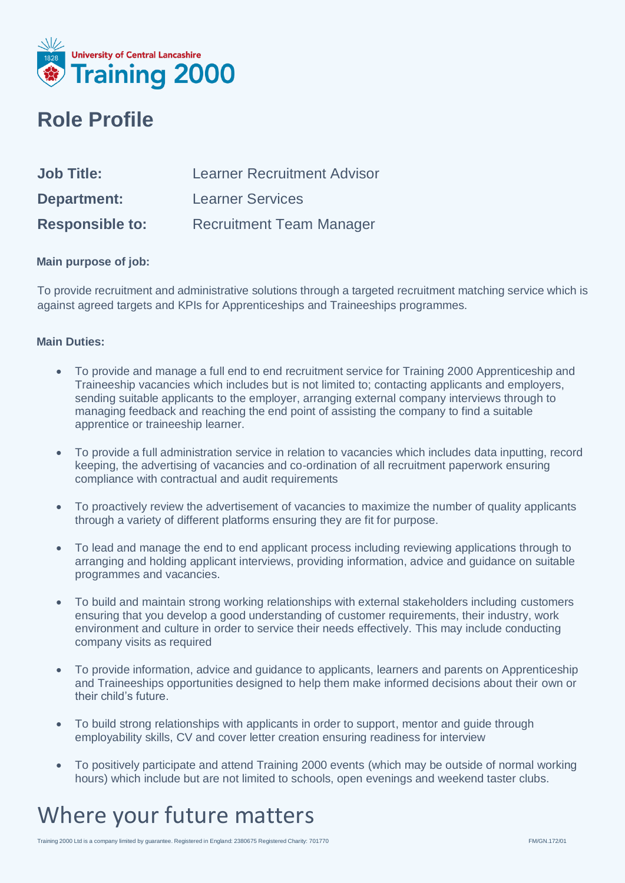

#### **Role Profile**

| <b>Job Title:</b>      | <b>Learner Recruitment Advisor</b> |
|------------------------|------------------------------------|
| <b>Department:</b>     | <b>Learner Services</b>            |
| <b>Responsible to:</b> | <b>Recruitment Team Manager</b>    |

#### **Main purpose of job:**

To provide recruitment and administrative solutions through a targeted recruitment matching service which is against agreed targets and KPIs for Apprenticeships and Traineeships programmes.

#### **Main Duties:**

- To provide and manage a full end to end recruitment service for Training 2000 Apprenticeship and Traineeship vacancies which includes but is not limited to; contacting applicants and employers, sending suitable applicants to the employer, arranging external company interviews through to managing feedback and reaching the end point of assisting the company to find a suitable apprentice or traineeship learner.
- To provide a full administration service in relation to vacancies which includes data inputting, record keeping, the advertising of vacancies and co-ordination of all recruitment paperwork ensuring compliance with contractual and audit requirements
- To proactively review the advertisement of vacancies to maximize the number of quality applicants through a variety of different platforms ensuring they are fit for purpose.
- To lead and manage the end to end applicant process including reviewing applications through to arranging and holding applicant interviews, providing information, advice and guidance on suitable programmes and vacancies.
- To build and maintain strong working relationships with external stakeholders including customers ensuring that you develop a good understanding of customer requirements, their industry, work environment and culture in order to service their needs effectively. This may include conducting company visits as required
- To provide information, advice and guidance to applicants, learners and parents on Apprenticeship and Traineeships opportunities designed to help them make informed decisions about their own or their child's future.
- To build strong relationships with applicants in order to support, mentor and guide through employability skills, CV and cover letter creation ensuring readiness for interview
- To positively participate and attend Training 2000 events (which may be outside of normal working hours) which include but are not limited to schools, open evenings and weekend taster clubs.

### Where your future matters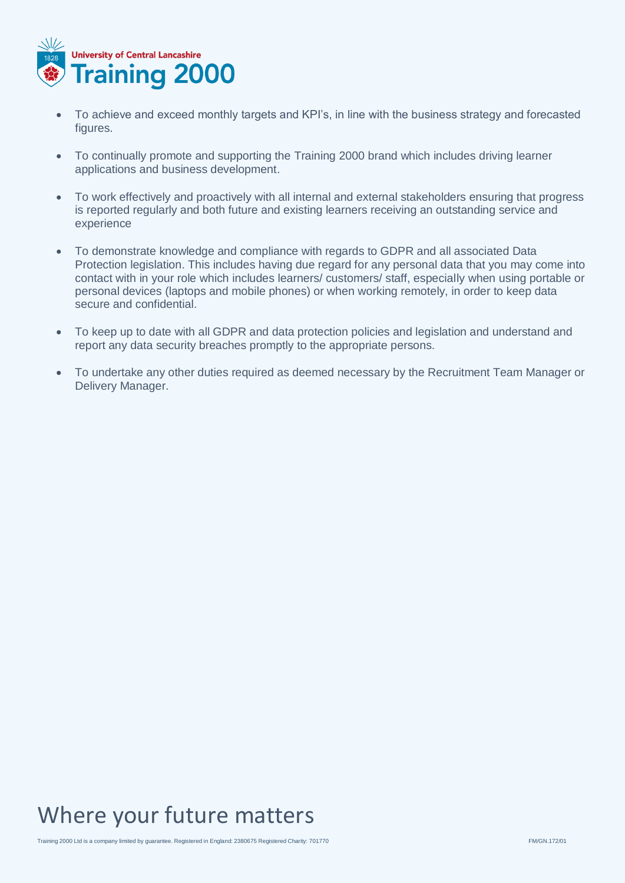

- To achieve and exceed monthly targets and KPI's, in line with the business strategy and forecasted figures.
- To continually promote and supporting the Training 2000 brand which includes driving learner applications and business development.
- To work effectively and proactively with all internal and external stakeholders ensuring that progress is reported regularly and both future and existing learners receiving an outstanding service and experience
- To demonstrate knowledge and compliance with regards to GDPR and all associated Data Protection legislation. This includes having due regard for any personal data that you may come into contact with in your role which includes learners/ customers/ staff, especially when using portable or personal devices (laptops and mobile phones) or when working remotely, in order to keep data secure and confidential.
- To keep up to date with all GDPR and data protection policies and legislation and understand and report any data security breaches promptly to the appropriate persons.
- To undertake any other duties required as deemed necessary by the Recruitment Team Manager or Delivery Manager.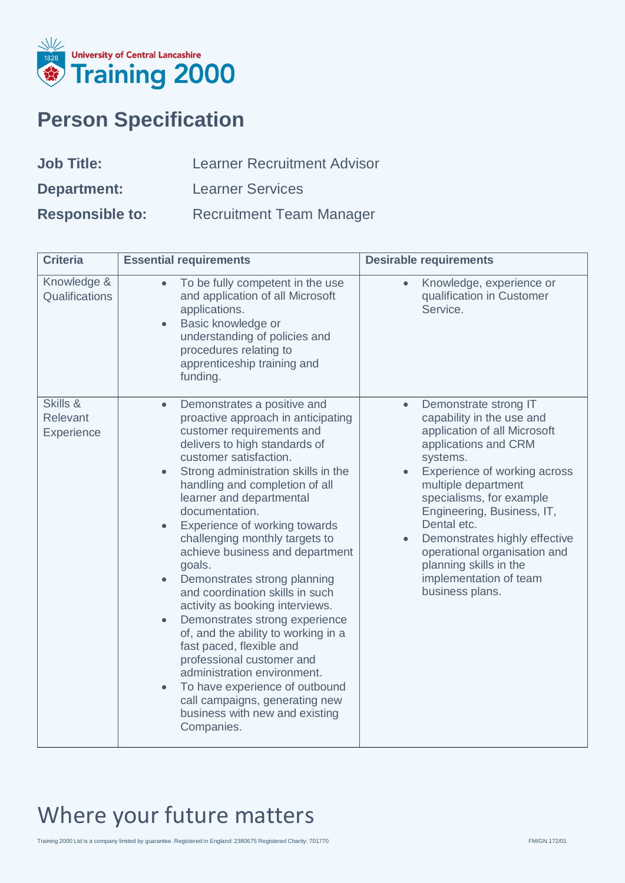

### **Person Specification**

| <b>Job Title:</b>      | <b>Learner Recruitment Advisor</b> |
|------------------------|------------------------------------|
| <b>Department:</b>     | <b>Learner Services</b>            |
| <b>Responsible to:</b> | <b>Recruitment Team Manager</b>    |

| <b>Criteria</b>                    | <b>Essential requirements</b>                                                                                                                                                                                                                                                                                                                                                                                                                                                                                                                                                                                                                                                                                                                                                                                                                                             | <b>Desirable requirements</b>                                                                                                                                                                                                                                                                                                                                                                               |
|------------------------------------|---------------------------------------------------------------------------------------------------------------------------------------------------------------------------------------------------------------------------------------------------------------------------------------------------------------------------------------------------------------------------------------------------------------------------------------------------------------------------------------------------------------------------------------------------------------------------------------------------------------------------------------------------------------------------------------------------------------------------------------------------------------------------------------------------------------------------------------------------------------------------|-------------------------------------------------------------------------------------------------------------------------------------------------------------------------------------------------------------------------------------------------------------------------------------------------------------------------------------------------------------------------------------------------------------|
| Knowledge &<br>Qualifications      | To be fully competent in the use<br>and application of all Microsoft<br>applications.<br>Basic knowledge or<br>$\bullet$<br>understanding of policies and<br>procedures relating to<br>apprenticeship training and<br>funding.                                                                                                                                                                                                                                                                                                                                                                                                                                                                                                                                                                                                                                            | Knowledge, experience or<br>qualification in Customer<br>Service.                                                                                                                                                                                                                                                                                                                                           |
| Skills &<br>Relevant<br>Experience | Demonstrates a positive and<br>$\bullet$<br>proactive approach in anticipating<br>customer requirements and<br>delivers to high standards of<br>customer satisfaction.<br>Strong administration skills in the<br>$\bullet$<br>handling and completion of all<br>learner and departmental<br>documentation.<br>Experience of working towards<br>$\bullet$<br>challenging monthly targets to<br>achieve business and department<br>goals.<br>Demonstrates strong planning<br>$\bullet$<br>and coordination skills in such<br>activity as booking interviews.<br>Demonstrates strong experience<br>$\bullet$<br>of, and the ability to working in a<br>fast paced, flexible and<br>professional customer and<br>administration environment.<br>To have experience of outbound<br>$\bullet$<br>call campaigns, generating new<br>business with new and existing<br>Companies. | Demonstrate strong IT<br>$\bullet$<br>capability in the use and<br>application of all Microsoft<br>applications and CRM<br>systems.<br>Experience of working across<br>multiple department<br>specialisms, for example<br>Engineering, Business, IT,<br>Dental etc.<br>Demonstrates highly effective<br>operational organisation and<br>planning skills in the<br>implementation of team<br>business plans. |

## Where your future matters